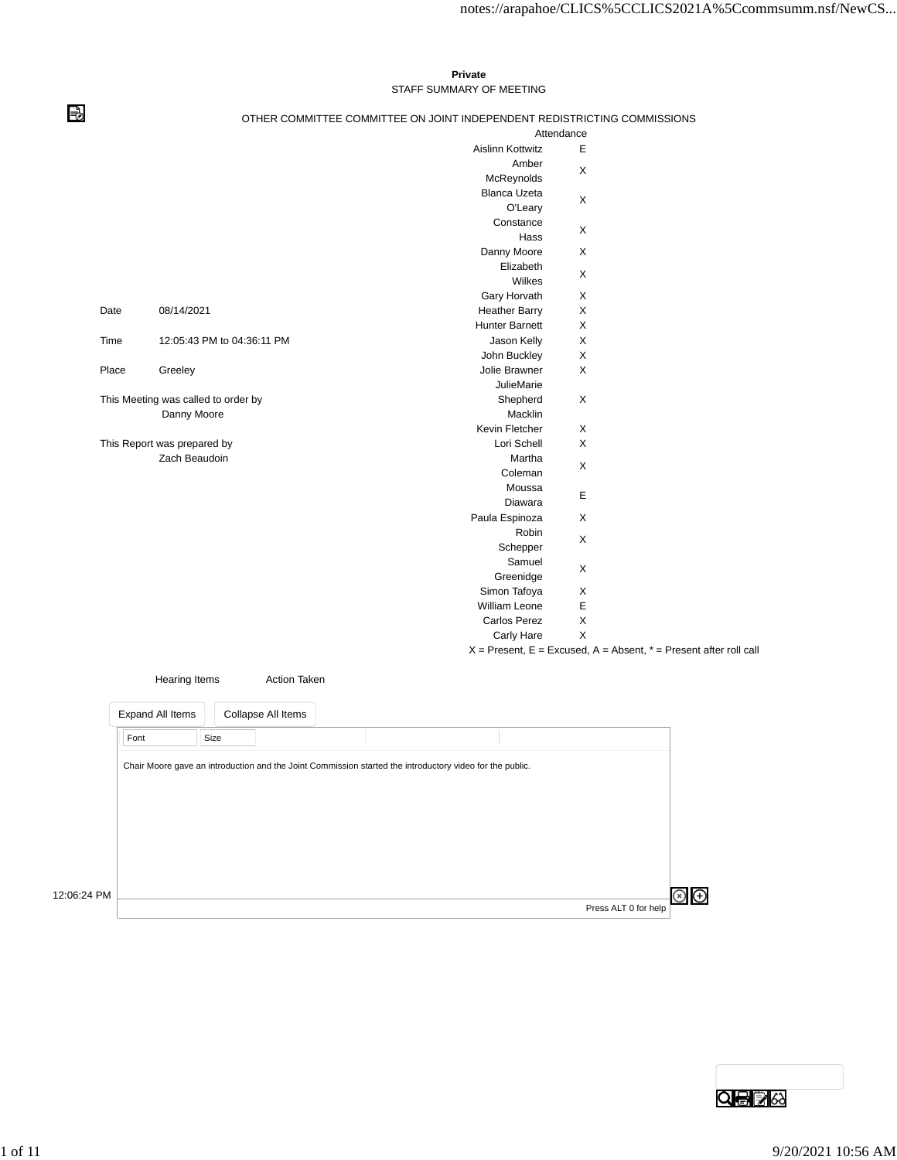## **Private** STAFF SUMMARY OF MEETING

⇛

## OTHER COMMITTEE COMMITTEE ON JOINT INDEPENDENT REDISTRICTING COMMISSIONS

|       |                                     |                     | Attendance              |             |                                                                           |
|-------|-------------------------------------|---------------------|-------------------------|-------------|---------------------------------------------------------------------------|
|       |                                     |                     | <b>Aislinn Kottwitz</b> | Е           |                                                                           |
|       |                                     |                     | Amber                   |             |                                                                           |
|       |                                     |                     | McReynolds              | X           |                                                                           |
|       |                                     |                     | <b>Blanca Uzeta</b>     |             |                                                                           |
|       |                                     |                     | O'Leary                 | X           |                                                                           |
|       |                                     |                     | Constance               |             |                                                                           |
|       |                                     |                     | Hass                    | X           |                                                                           |
|       |                                     |                     | Danny Moore             | X           |                                                                           |
|       |                                     |                     | Elizabeth               |             |                                                                           |
|       |                                     |                     | Wilkes                  | X           |                                                                           |
|       |                                     |                     | Gary Horvath            | Χ           |                                                                           |
| Date  | 08/14/2021                          |                     | <b>Heather Barry</b>    | X           |                                                                           |
|       |                                     |                     | <b>Hunter Barnett</b>   | X           |                                                                           |
| Time  | 12:05:43 PM to 04:36:11 PM          |                     | Jason Kelly             | $\mathsf X$ |                                                                           |
|       |                                     |                     | John Buckley            | X           |                                                                           |
| Place | Greeley                             |                     | Jolie Brawner           | X           |                                                                           |
|       |                                     |                     | <b>JulieMarie</b>       |             |                                                                           |
|       | This Meeting was called to order by |                     | Shepherd                | X           |                                                                           |
|       | Danny Moore                         |                     | Macklin                 |             |                                                                           |
|       |                                     |                     | Kevin Fletcher          | X           |                                                                           |
|       | This Report was prepared by         |                     | Lori Schell             | X           |                                                                           |
|       | Zach Beaudoin                       |                     | Martha                  |             |                                                                           |
|       |                                     |                     | Coleman                 | X           |                                                                           |
|       |                                     |                     | Moussa                  |             |                                                                           |
|       |                                     |                     | Diawara                 | E           |                                                                           |
|       |                                     |                     | Paula Espinoza          | X           |                                                                           |
|       |                                     |                     | Robin                   |             |                                                                           |
|       |                                     |                     | Schepper                | X           |                                                                           |
|       |                                     |                     | Samuel                  |             |                                                                           |
|       |                                     |                     | Greenidge               | X           |                                                                           |
|       |                                     |                     | Simon Tafoya            | X           |                                                                           |
|       |                                     |                     | William Leone           | $\mathsf E$ |                                                                           |
|       |                                     |                     | <b>Carlos Perez</b>     | $\mathsf X$ |                                                                           |
|       |                                     |                     | Carly Hare              | $\mathsf X$ |                                                                           |
|       |                                     |                     |                         |             | $X =$ Present, $E =$ Excused, $A =$ Absent, $* =$ Present after roll call |
|       |                                     |                     |                         |             |                                                                           |
|       | <b>Hearing Items</b>                | <b>Action Taken</b> |                         |             |                                                                           |

| Expand All Items | Collapse All Items                                                                                       |  |  |
|------------------|----------------------------------------------------------------------------------------------------------|--|--|
| Font             | Size                                                                                                     |  |  |
|                  | Chair Moore gave an introduction and the Joint Commission started the introductory video for the public. |  |  |
|                  |                                                                                                          |  |  |
|                  |                                                                                                          |  |  |
|                  |                                                                                                          |  |  |
|                  |                                                                                                          |  |  |
|                  |                                                                                                          |  |  |
| 12:06:24 PM      |                                                                                                          |  |  |
|                  |                                                                                                          |  |  |

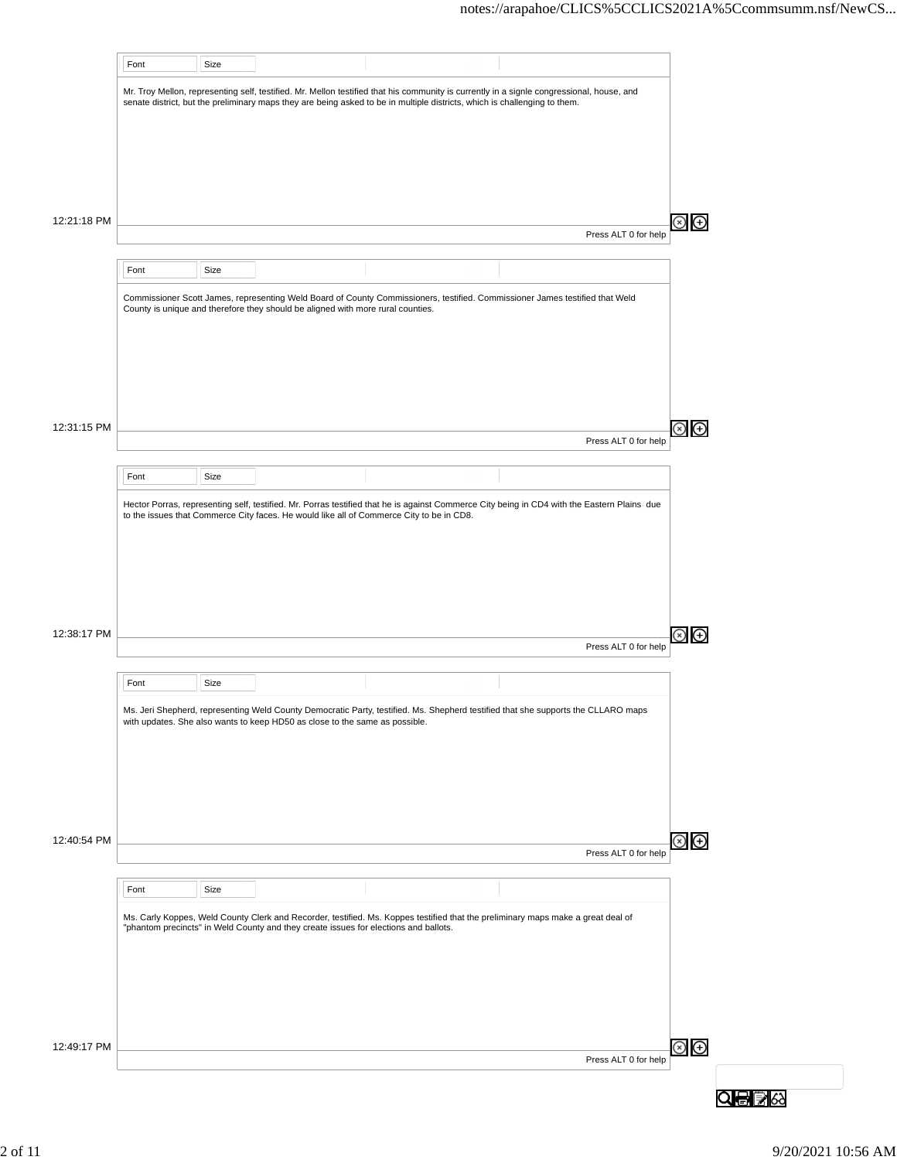|             | Font | Size |                                                                                                                                                                                                                                         |                      |            |
|-------------|------|------|-----------------------------------------------------------------------------------------------------------------------------------------------------------------------------------------------------------------------------------------|----------------------|------------|
|             |      |      | Mr. Troy Mellon, representing self, testified. Mr. Mellon testified that his community is currently in a signle congressional, house, and                                                                                               |                      |            |
|             |      |      | senate district, but the preliminary maps they are being asked to be in multiple districts, which is challenging to them.                                                                                                               |                      |            |
|             |      |      |                                                                                                                                                                                                                                         |                      |            |
|             |      |      |                                                                                                                                                                                                                                         |                      |            |
|             |      |      |                                                                                                                                                                                                                                         |                      |            |
| 12:21:18 PM |      |      |                                                                                                                                                                                                                                         |                      | (Ŧ)        |
|             |      |      |                                                                                                                                                                                                                                         | Press ALT 0 for help |            |
|             | Font | Size |                                                                                                                                                                                                                                         |                      |            |
|             |      |      | Commissioner Scott James, representing Weld Board of County Commissioners, testified. Commissioner James testified that Weld                                                                                                            |                      |            |
|             |      |      | County is unique and therefore they should be aligned with more rural counties.                                                                                                                                                         |                      |            |
|             |      |      |                                                                                                                                                                                                                                         |                      |            |
|             |      |      |                                                                                                                                                                                                                                         |                      |            |
|             |      |      |                                                                                                                                                                                                                                         |                      |            |
| 12:31:15 PM |      |      |                                                                                                                                                                                                                                         |                      | (Ŧ)        |
|             |      |      |                                                                                                                                                                                                                                         | Press ALT 0 for help |            |
|             | Font | Size |                                                                                                                                                                                                                                         |                      |            |
|             |      |      |                                                                                                                                                                                                                                         |                      |            |
|             |      |      | Hector Porras, representing self, testified. Mr. Porras testified that he is against Commerce City being in CD4 with the Eastern Plains due<br>to the issues that Commerce City faces. He would like all of Commerce City to be in CD8. |                      |            |
|             |      |      |                                                                                                                                                                                                                                         |                      |            |
|             |      |      |                                                                                                                                                                                                                                         |                      |            |
|             |      |      |                                                                                                                                                                                                                                         |                      |            |
|             |      |      |                                                                                                                                                                                                                                         |                      |            |
| 12:38:17 PM |      |      |                                                                                                                                                                                                                                         | Press ALT 0 for help | $^{(+)}$   |
|             |      |      |                                                                                                                                                                                                                                         |                      |            |
|             | Font | Size |                                                                                                                                                                                                                                         |                      |            |
|             |      |      | Ms. Jeri Shepherd, representing Weld County Democratic Party, testified. Ms. Shepherd testified that she supports the CLLARO maps<br>with updates. She also wants to keep HD50 as close to the same as possible.                        |                      |            |
|             |      |      |                                                                                                                                                                                                                                         |                      |            |
|             |      |      |                                                                                                                                                                                                                                         |                      |            |
|             |      |      |                                                                                                                                                                                                                                         |                      |            |
|             |      |      |                                                                                                                                                                                                                                         |                      |            |
| 12:40:54 PM |      |      |                                                                                                                                                                                                                                         | Press ALT 0 for help | (*)<br>(+) |
|             |      |      |                                                                                                                                                                                                                                         |                      |            |
|             | Font | Size |                                                                                                                                                                                                                                         |                      |            |
|             |      |      | Ms. Carly Koppes, Weld County Clerk and Recorder, testified. Ms. Koppes testified that the preliminary maps make a great deal of<br>"phantom precincts" in Weld County and they create issues for elections and ballots.                |                      |            |
|             |      |      |                                                                                                                                                                                                                                         |                      |            |
|             |      |      |                                                                                                                                                                                                                                         |                      |            |
|             |      |      |                                                                                                                                                                                                                                         |                      |            |
|             |      |      |                                                                                                                                                                                                                                         |                      |            |
| 12:49:17 PM |      |      |                                                                                                                                                                                                                                         | Press ALT 0 for help | ⊗<br>⊕     |
|             |      |      |                                                                                                                                                                                                                                         |                      |            |
|             |      |      |                                                                                                                                                                                                                                         |                      |            |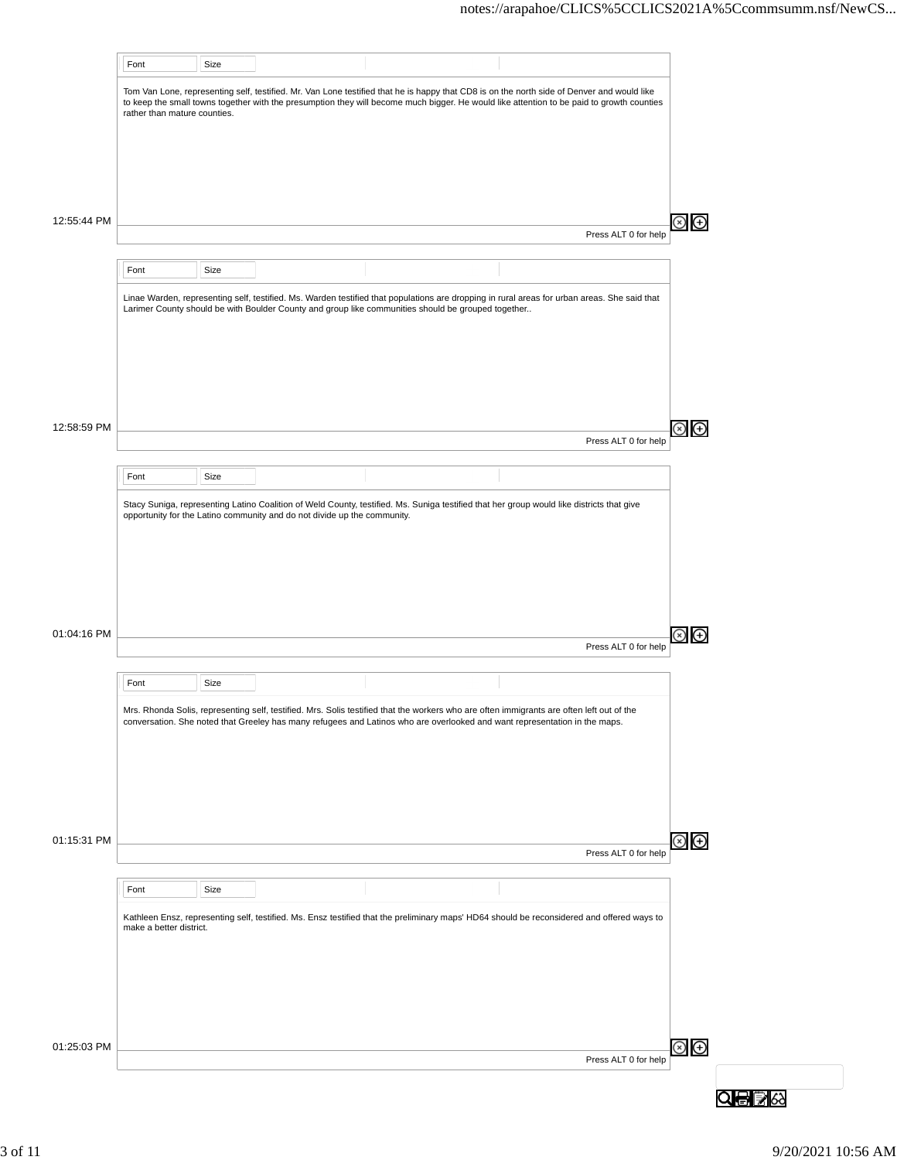| Tom Van Lone, representing self, testified. Mr. Van Lone testified that he is happy that CD8 is on the north side of Denver and would like<br>to keep the small towns together with the presumption they will become much bigger. He would like attention to be paid to growth counties<br>rather than mature counties.<br>12:55:44 PM<br>$\bigoplus$<br>Press ALT 0 for help<br>Font<br>Size<br>Linae Warden, representing self, testified. Ms. Warden testified that populations are dropping in rural areas for urban areas. She said that<br>Larimer County should be with Boulder County and group like communities should be grouped together<br>12:58:59 PM<br>$\bigoplus$<br>Press ALT 0 for help<br>Font<br>Size<br>Stacy Suniga, representing Latino Coalition of Weld County, testified. Ms. Suniga testified that her group would like districts that give<br>opportunity for the Latino community and do not divide up the community.<br>01:04:16 PM<br>$\Theta$<br>Press ALT 0 for help<br>Font<br>Size<br>Mrs. Rhonda Solis, representing self, testified. Mrs. Solis testified that the workers who are often immigrants are often left out of the<br>conversation. She noted that Greeley has many refugees and Latinos who are overlooked and want representation in the maps.<br>$\circledcirc$ $\odot$<br>01:15:31 PM<br>Press ALT 0 for help<br>Font<br>Size<br>Kathleen Ensz, representing self, testified. Ms. Ensz testified that the preliminary maps' HD64 should be reconsidered and offered ways to<br>make a better district.<br>$\circledcirc$<br>01:25:03 PM<br>Press ALT 0 for help | Font | Size |  |  |  |
|---------------------------------------------------------------------------------------------------------------------------------------------------------------------------------------------------------------------------------------------------------------------------------------------------------------------------------------------------------------------------------------------------------------------------------------------------------------------------------------------------------------------------------------------------------------------------------------------------------------------------------------------------------------------------------------------------------------------------------------------------------------------------------------------------------------------------------------------------------------------------------------------------------------------------------------------------------------------------------------------------------------------------------------------------------------------------------------------------------------------------------------------------------------------------------------------------------------------------------------------------------------------------------------------------------------------------------------------------------------------------------------------------------------------------------------------------------------------------------------------------------------------------------------------------------------------------------------------------------------------|------|------|--|--|--|
|                                                                                                                                                                                                                                                                                                                                                                                                                                                                                                                                                                                                                                                                                                                                                                                                                                                                                                                                                                                                                                                                                                                                                                                                                                                                                                                                                                                                                                                                                                                                                                                                                     |      |      |  |  |  |
|                                                                                                                                                                                                                                                                                                                                                                                                                                                                                                                                                                                                                                                                                                                                                                                                                                                                                                                                                                                                                                                                                                                                                                                                                                                                                                                                                                                                                                                                                                                                                                                                                     |      |      |  |  |  |
|                                                                                                                                                                                                                                                                                                                                                                                                                                                                                                                                                                                                                                                                                                                                                                                                                                                                                                                                                                                                                                                                                                                                                                                                                                                                                                                                                                                                                                                                                                                                                                                                                     |      |      |  |  |  |
|                                                                                                                                                                                                                                                                                                                                                                                                                                                                                                                                                                                                                                                                                                                                                                                                                                                                                                                                                                                                                                                                                                                                                                                                                                                                                                                                                                                                                                                                                                                                                                                                                     |      |      |  |  |  |
|                                                                                                                                                                                                                                                                                                                                                                                                                                                                                                                                                                                                                                                                                                                                                                                                                                                                                                                                                                                                                                                                                                                                                                                                                                                                                                                                                                                                                                                                                                                                                                                                                     |      |      |  |  |  |
|                                                                                                                                                                                                                                                                                                                                                                                                                                                                                                                                                                                                                                                                                                                                                                                                                                                                                                                                                                                                                                                                                                                                                                                                                                                                                                                                                                                                                                                                                                                                                                                                                     |      |      |  |  |  |
|                                                                                                                                                                                                                                                                                                                                                                                                                                                                                                                                                                                                                                                                                                                                                                                                                                                                                                                                                                                                                                                                                                                                                                                                                                                                                                                                                                                                                                                                                                                                                                                                                     |      |      |  |  |  |
|                                                                                                                                                                                                                                                                                                                                                                                                                                                                                                                                                                                                                                                                                                                                                                                                                                                                                                                                                                                                                                                                                                                                                                                                                                                                                                                                                                                                                                                                                                                                                                                                                     |      |      |  |  |  |
|                                                                                                                                                                                                                                                                                                                                                                                                                                                                                                                                                                                                                                                                                                                                                                                                                                                                                                                                                                                                                                                                                                                                                                                                                                                                                                                                                                                                                                                                                                                                                                                                                     |      |      |  |  |  |
|                                                                                                                                                                                                                                                                                                                                                                                                                                                                                                                                                                                                                                                                                                                                                                                                                                                                                                                                                                                                                                                                                                                                                                                                                                                                                                                                                                                                                                                                                                                                                                                                                     |      |      |  |  |  |
|                                                                                                                                                                                                                                                                                                                                                                                                                                                                                                                                                                                                                                                                                                                                                                                                                                                                                                                                                                                                                                                                                                                                                                                                                                                                                                                                                                                                                                                                                                                                                                                                                     |      |      |  |  |  |
|                                                                                                                                                                                                                                                                                                                                                                                                                                                                                                                                                                                                                                                                                                                                                                                                                                                                                                                                                                                                                                                                                                                                                                                                                                                                                                                                                                                                                                                                                                                                                                                                                     |      |      |  |  |  |
|                                                                                                                                                                                                                                                                                                                                                                                                                                                                                                                                                                                                                                                                                                                                                                                                                                                                                                                                                                                                                                                                                                                                                                                                                                                                                                                                                                                                                                                                                                                                                                                                                     |      |      |  |  |  |
|                                                                                                                                                                                                                                                                                                                                                                                                                                                                                                                                                                                                                                                                                                                                                                                                                                                                                                                                                                                                                                                                                                                                                                                                                                                                                                                                                                                                                                                                                                                                                                                                                     |      |      |  |  |  |
|                                                                                                                                                                                                                                                                                                                                                                                                                                                                                                                                                                                                                                                                                                                                                                                                                                                                                                                                                                                                                                                                                                                                                                                                                                                                                                                                                                                                                                                                                                                                                                                                                     |      |      |  |  |  |
|                                                                                                                                                                                                                                                                                                                                                                                                                                                                                                                                                                                                                                                                                                                                                                                                                                                                                                                                                                                                                                                                                                                                                                                                                                                                                                                                                                                                                                                                                                                                                                                                                     |      |      |  |  |  |
|                                                                                                                                                                                                                                                                                                                                                                                                                                                                                                                                                                                                                                                                                                                                                                                                                                                                                                                                                                                                                                                                                                                                                                                                                                                                                                                                                                                                                                                                                                                                                                                                                     |      |      |  |  |  |
|                                                                                                                                                                                                                                                                                                                                                                                                                                                                                                                                                                                                                                                                                                                                                                                                                                                                                                                                                                                                                                                                                                                                                                                                                                                                                                                                                                                                                                                                                                                                                                                                                     |      |      |  |  |  |
|                                                                                                                                                                                                                                                                                                                                                                                                                                                                                                                                                                                                                                                                                                                                                                                                                                                                                                                                                                                                                                                                                                                                                                                                                                                                                                                                                                                                                                                                                                                                                                                                                     |      |      |  |  |  |
|                                                                                                                                                                                                                                                                                                                                                                                                                                                                                                                                                                                                                                                                                                                                                                                                                                                                                                                                                                                                                                                                                                                                                                                                                                                                                                                                                                                                                                                                                                                                                                                                                     |      |      |  |  |  |
|                                                                                                                                                                                                                                                                                                                                                                                                                                                                                                                                                                                                                                                                                                                                                                                                                                                                                                                                                                                                                                                                                                                                                                                                                                                                                                                                                                                                                                                                                                                                                                                                                     |      |      |  |  |  |
|                                                                                                                                                                                                                                                                                                                                                                                                                                                                                                                                                                                                                                                                                                                                                                                                                                                                                                                                                                                                                                                                                                                                                                                                                                                                                                                                                                                                                                                                                                                                                                                                                     |      |      |  |  |  |
|                                                                                                                                                                                                                                                                                                                                                                                                                                                                                                                                                                                                                                                                                                                                                                                                                                                                                                                                                                                                                                                                                                                                                                                                                                                                                                                                                                                                                                                                                                                                                                                                                     |      |      |  |  |  |
|                                                                                                                                                                                                                                                                                                                                                                                                                                                                                                                                                                                                                                                                                                                                                                                                                                                                                                                                                                                                                                                                                                                                                                                                                                                                                                                                                                                                                                                                                                                                                                                                                     |      |      |  |  |  |
|                                                                                                                                                                                                                                                                                                                                                                                                                                                                                                                                                                                                                                                                                                                                                                                                                                                                                                                                                                                                                                                                                                                                                                                                                                                                                                                                                                                                                                                                                                                                                                                                                     |      |      |  |  |  |
|                                                                                                                                                                                                                                                                                                                                                                                                                                                                                                                                                                                                                                                                                                                                                                                                                                                                                                                                                                                                                                                                                                                                                                                                                                                                                                                                                                                                                                                                                                                                                                                                                     |      |      |  |  |  |
|                                                                                                                                                                                                                                                                                                                                                                                                                                                                                                                                                                                                                                                                                                                                                                                                                                                                                                                                                                                                                                                                                                                                                                                                                                                                                                                                                                                                                                                                                                                                                                                                                     |      |      |  |  |  |
|                                                                                                                                                                                                                                                                                                                                                                                                                                                                                                                                                                                                                                                                                                                                                                                                                                                                                                                                                                                                                                                                                                                                                                                                                                                                                                                                                                                                                                                                                                                                                                                                                     |      |      |  |  |  |
|                                                                                                                                                                                                                                                                                                                                                                                                                                                                                                                                                                                                                                                                                                                                                                                                                                                                                                                                                                                                                                                                                                                                                                                                                                                                                                                                                                                                                                                                                                                                                                                                                     |      |      |  |  |  |
|                                                                                                                                                                                                                                                                                                                                                                                                                                                                                                                                                                                                                                                                                                                                                                                                                                                                                                                                                                                                                                                                                                                                                                                                                                                                                                                                                                                                                                                                                                                                                                                                                     |      |      |  |  |  |
|                                                                                                                                                                                                                                                                                                                                                                                                                                                                                                                                                                                                                                                                                                                                                                                                                                                                                                                                                                                                                                                                                                                                                                                                                                                                                                                                                                                                                                                                                                                                                                                                                     |      |      |  |  |  |
|                                                                                                                                                                                                                                                                                                                                                                                                                                                                                                                                                                                                                                                                                                                                                                                                                                                                                                                                                                                                                                                                                                                                                                                                                                                                                                                                                                                                                                                                                                                                                                                                                     |      |      |  |  |  |
|                                                                                                                                                                                                                                                                                                                                                                                                                                                                                                                                                                                                                                                                                                                                                                                                                                                                                                                                                                                                                                                                                                                                                                                                                                                                                                                                                                                                                                                                                                                                                                                                                     |      |      |  |  |  |
|                                                                                                                                                                                                                                                                                                                                                                                                                                                                                                                                                                                                                                                                                                                                                                                                                                                                                                                                                                                                                                                                                                                                                                                                                                                                                                                                                                                                                                                                                                                                                                                                                     |      |      |  |  |  |
|                                                                                                                                                                                                                                                                                                                                                                                                                                                                                                                                                                                                                                                                                                                                                                                                                                                                                                                                                                                                                                                                                                                                                                                                                                                                                                                                                                                                                                                                                                                                                                                                                     |      |      |  |  |  |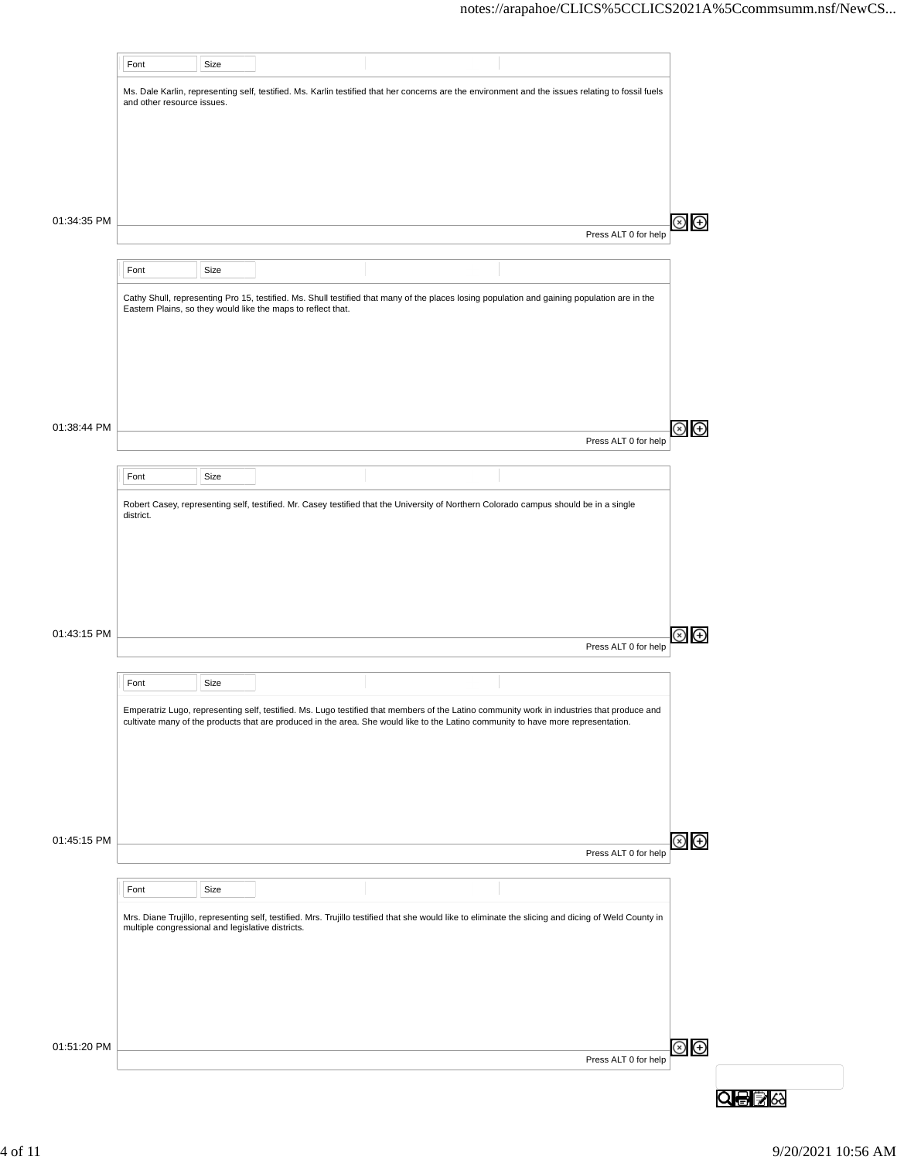|             | Font                                              | Size |                                                              |                                                                                                                                                      |                      |                        |
|-------------|---------------------------------------------------|------|--------------------------------------------------------------|------------------------------------------------------------------------------------------------------------------------------------------------------|----------------------|------------------------|
|             |                                                   |      |                                                              |                                                                                                                                                      |                      |                        |
|             | and other resource issues.                        |      |                                                              | Ms. Dale Karlin, representing self, testified. Ms. Karlin testified that her concerns are the environment and the issues relating to fossil fuels    |                      |                        |
|             |                                                   |      |                                                              |                                                                                                                                                      |                      |                        |
|             |                                                   |      |                                                              |                                                                                                                                                      |                      |                        |
|             |                                                   |      |                                                              |                                                                                                                                                      |                      |                        |
|             |                                                   |      |                                                              |                                                                                                                                                      |                      |                        |
|             |                                                   |      |                                                              |                                                                                                                                                      |                      |                        |
| 01:34:35 PM |                                                   |      |                                                              |                                                                                                                                                      |                      |                        |
|             |                                                   |      |                                                              |                                                                                                                                                      | Press ALT 0 for help |                        |
|             |                                                   |      |                                                              |                                                                                                                                                      |                      |                        |
|             | Font                                              | Size |                                                              |                                                                                                                                                      |                      |                        |
|             |                                                   |      |                                                              | Cathy Shull, representing Pro 15, testified. Ms. Shull testified that many of the places losing population and gaining population are in the         |                      |                        |
|             |                                                   |      | Eastern Plains, so they would like the maps to reflect that. |                                                                                                                                                      |                      |                        |
|             |                                                   |      |                                                              |                                                                                                                                                      |                      |                        |
|             |                                                   |      |                                                              |                                                                                                                                                      |                      |                        |
|             |                                                   |      |                                                              |                                                                                                                                                      |                      |                        |
|             |                                                   |      |                                                              |                                                                                                                                                      |                      |                        |
|             |                                                   |      |                                                              |                                                                                                                                                      |                      |                        |
|             |                                                   |      |                                                              |                                                                                                                                                      |                      |                        |
| 01:38:44 PM |                                                   |      |                                                              |                                                                                                                                                      | Press ALT 0 for help |                        |
|             |                                                   |      |                                                              |                                                                                                                                                      |                      |                        |
|             | Font                                              | Size |                                                              |                                                                                                                                                      |                      |                        |
|             |                                                   |      |                                                              |                                                                                                                                                      |                      |                        |
|             | district.                                         |      |                                                              | Robert Casey, representing self, testified. Mr. Casey testified that the University of Northern Colorado campus should be in a single                |                      |                        |
|             |                                                   |      |                                                              |                                                                                                                                                      |                      |                        |
|             |                                                   |      |                                                              |                                                                                                                                                      |                      |                        |
|             |                                                   |      |                                                              |                                                                                                                                                      |                      |                        |
|             |                                                   |      |                                                              |                                                                                                                                                      |                      |                        |
|             |                                                   |      |                                                              |                                                                                                                                                      |                      |                        |
|             |                                                   |      |                                                              |                                                                                                                                                      |                      |                        |
| 01:43:15 PM |                                                   |      |                                                              |                                                                                                                                                      |                      |                        |
|             |                                                   |      |                                                              |                                                                                                                                                      | Press ALT 0 for help |                        |
|             |                                                   |      |                                                              |                                                                                                                                                      |                      |                        |
|             | Font                                              | Size |                                                              |                                                                                                                                                      |                      |                        |
|             |                                                   |      |                                                              | Emperatriz Lugo, representing self, testified. Ms. Lugo testified that members of the Latino community work in industries that produce and           |                      |                        |
|             |                                                   |      |                                                              | cultivate many of the products that are produced in the area. She would like to the Latino community to have more representation.                    |                      |                        |
|             |                                                   |      |                                                              |                                                                                                                                                      |                      |                        |
|             |                                                   |      |                                                              |                                                                                                                                                      |                      |                        |
|             |                                                   |      |                                                              |                                                                                                                                                      |                      |                        |
|             |                                                   |      |                                                              |                                                                                                                                                      |                      |                        |
|             |                                                   |      |                                                              |                                                                                                                                                      |                      |                        |
|             |                                                   |      |                                                              |                                                                                                                                                      |                      |                        |
| 01:45:15 PM |                                                   |      |                                                              |                                                                                                                                                      | Press ALT 0 for help |                        |
|             |                                                   |      |                                                              |                                                                                                                                                      |                      |                        |
|             | Font                                              | Size |                                                              |                                                                                                                                                      |                      |                        |
|             |                                                   |      |                                                              |                                                                                                                                                      |                      |                        |
|             |                                                   |      |                                                              | Mrs. Diane Trujillo, representing self, testified. Mrs. Trujillo testified that she would like to eliminate the slicing and dicing of Weld County in |                      |                        |
|             | multiple congressional and legislative districts. |      |                                                              |                                                                                                                                                      |                      |                        |
|             |                                                   |      |                                                              |                                                                                                                                                      |                      |                        |
|             |                                                   |      |                                                              |                                                                                                                                                      |                      |                        |
|             |                                                   |      |                                                              |                                                                                                                                                      |                      |                        |
|             |                                                   |      |                                                              |                                                                                                                                                      |                      |                        |
|             |                                                   |      |                                                              |                                                                                                                                                      |                      |                        |
|             |                                                   |      |                                                              |                                                                                                                                                      |                      |                        |
| 01:51:20 PM |                                                   |      |                                                              |                                                                                                                                                      | Press ALT 0 for help | $\circledcirc$ $\odot$ |
|             |                                                   |      |                                                              |                                                                                                                                                      |                      |                        |
|             |                                                   |      |                                                              |                                                                                                                                                      |                      |                        |
|             |                                                   |      |                                                              |                                                                                                                                                      |                      |                        |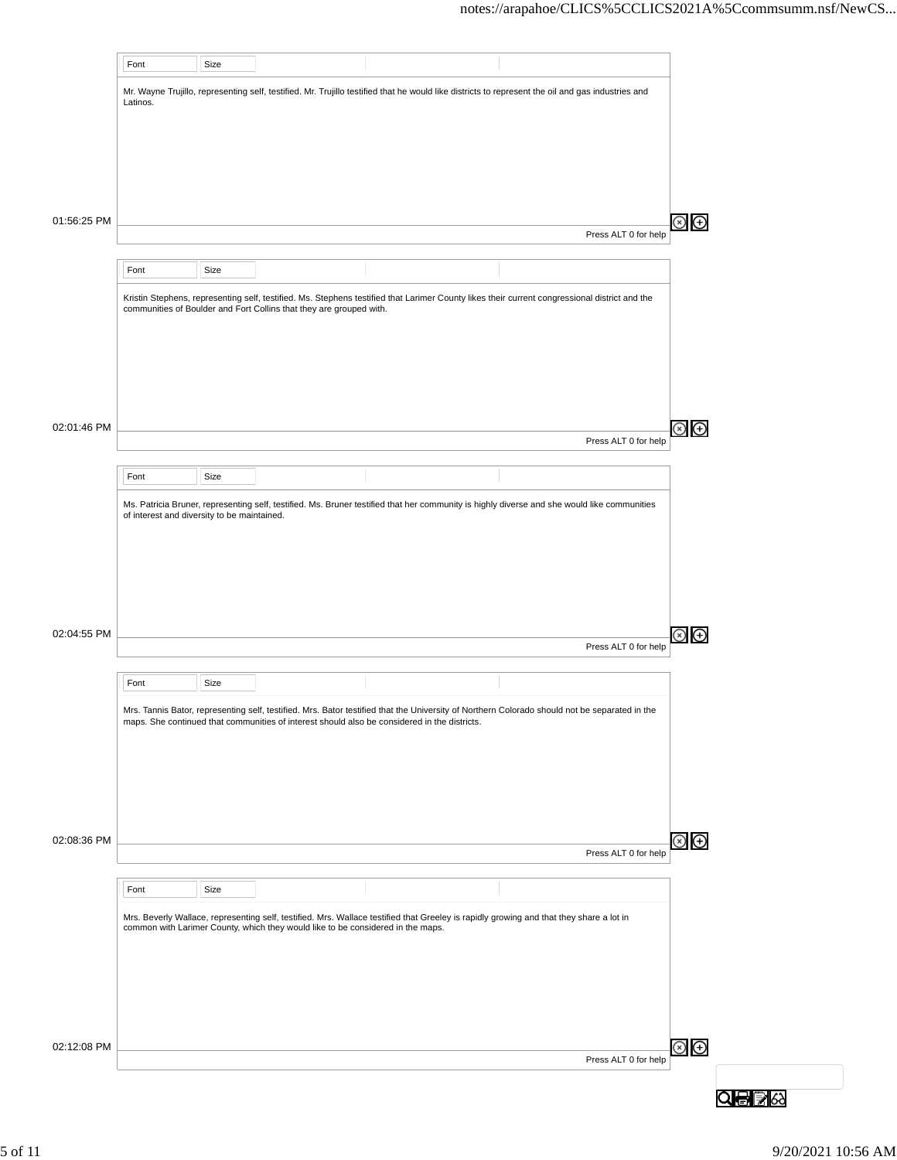|             | Font                                        | Size |                                                                                 |                                                                                                                                                                                                                                               |                      |                |
|-------------|---------------------------------------------|------|---------------------------------------------------------------------------------|-----------------------------------------------------------------------------------------------------------------------------------------------------------------------------------------------------------------------------------------------|----------------------|----------------|
|             |                                             |      |                                                                                 | Mr. Wayne Trujillo, representing self, testified. Mr. Trujillo testified that he would like districts to represent the oil and gas industries and                                                                                             |                      |                |
|             | Latinos.                                    |      |                                                                                 |                                                                                                                                                                                                                                               |                      |                |
|             |                                             |      |                                                                                 |                                                                                                                                                                                                                                               |                      |                |
|             |                                             |      |                                                                                 |                                                                                                                                                                                                                                               |                      |                |
|             |                                             |      |                                                                                 |                                                                                                                                                                                                                                               |                      |                |
|             |                                             |      |                                                                                 |                                                                                                                                                                                                                                               |                      |                |
|             |                                             |      |                                                                                 |                                                                                                                                                                                                                                               |                      |                |
| 01:56:25 PM |                                             |      |                                                                                 |                                                                                                                                                                                                                                               | Press ALT 0 for help | Θ              |
|             |                                             |      |                                                                                 |                                                                                                                                                                                                                                               |                      |                |
|             | Font                                        | Size |                                                                                 |                                                                                                                                                                                                                                               |                      |                |
|             |                                             |      |                                                                                 |                                                                                                                                                                                                                                               |                      |                |
|             |                                             |      | communities of Boulder and Fort Collins that they are grouped with.             | Kristin Stephens, representing self, testified. Ms. Stephens testified that Larimer County likes their current congressional district and the                                                                                                 |                      |                |
|             |                                             |      |                                                                                 |                                                                                                                                                                                                                                               |                      |                |
|             |                                             |      |                                                                                 |                                                                                                                                                                                                                                               |                      |                |
|             |                                             |      |                                                                                 |                                                                                                                                                                                                                                               |                      |                |
|             |                                             |      |                                                                                 |                                                                                                                                                                                                                                               |                      |                |
|             |                                             |      |                                                                                 |                                                                                                                                                                                                                                               |                      |                |
| 02:01:46 PM |                                             |      |                                                                                 |                                                                                                                                                                                                                                               |                      | ⊕              |
|             |                                             |      |                                                                                 |                                                                                                                                                                                                                                               | Press ALT 0 for help |                |
|             |                                             |      |                                                                                 |                                                                                                                                                                                                                                               |                      |                |
|             | Font                                        | Size |                                                                                 |                                                                                                                                                                                                                                               |                      |                |
|             | of interest and diversity to be maintained. |      |                                                                                 | Ms. Patricia Bruner, representing self, testified. Ms. Bruner testified that her community is highly diverse and she would like communities                                                                                                   |                      |                |
|             |                                             |      |                                                                                 |                                                                                                                                                                                                                                               |                      |                |
|             |                                             |      |                                                                                 |                                                                                                                                                                                                                                               |                      |                |
|             |                                             |      |                                                                                 |                                                                                                                                                                                                                                               |                      |                |
|             |                                             |      |                                                                                 |                                                                                                                                                                                                                                               |                      |                |
|             |                                             |      |                                                                                 |                                                                                                                                                                                                                                               |                      |                |
|             |                                             |      |                                                                                 |                                                                                                                                                                                                                                               |                      |                |
|             |                                             |      |                                                                                 |                                                                                                                                                                                                                                               |                      |                |
|             |                                             |      |                                                                                 |                                                                                                                                                                                                                                               |                      | ⊕              |
|             |                                             |      |                                                                                 |                                                                                                                                                                                                                                               | Press ALT 0 for help |                |
|             | Font                                        | Size |                                                                                 |                                                                                                                                                                                                                                               |                      |                |
|             |                                             |      |                                                                                 |                                                                                                                                                                                                                                               |                      |                |
|             |                                             |      |                                                                                 | Mrs. Tannis Bator, representing self, testified. Mrs. Bator testified that the University of Northern Colorado should not be separated in the<br>maps. She continued that communities of interest should also be considered in the districts. |                      |                |
|             |                                             |      |                                                                                 |                                                                                                                                                                                                                                               |                      |                |
|             |                                             |      |                                                                                 |                                                                                                                                                                                                                                               |                      |                |
|             |                                             |      |                                                                                 |                                                                                                                                                                                                                                               |                      |                |
|             |                                             |      |                                                                                 |                                                                                                                                                                                                                                               |                      |                |
| 02:04:55 PM |                                             |      |                                                                                 |                                                                                                                                                                                                                                               |                      |                |
| 02:08:36 PM |                                             |      |                                                                                 |                                                                                                                                                                                                                                               |                      | $\circledcirc$ |
|             |                                             |      |                                                                                 |                                                                                                                                                                                                                                               | Press ALT 0 for help |                |
|             |                                             |      |                                                                                 |                                                                                                                                                                                                                                               |                      |                |
|             | Font                                        | Size |                                                                                 |                                                                                                                                                                                                                                               |                      |                |
|             |                                             |      |                                                                                 | Mrs. Beverly Wallace, representing self, testified. Mrs. Wallace testified that Greeley is rapidly growing and that they share a lot in                                                                                                       |                      |                |
|             |                                             |      | common with Larimer County, which they would like to be considered in the maps. |                                                                                                                                                                                                                                               |                      |                |
|             |                                             |      |                                                                                 |                                                                                                                                                                                                                                               |                      |                |
|             |                                             |      |                                                                                 |                                                                                                                                                                                                                                               |                      |                |
|             |                                             |      |                                                                                 |                                                                                                                                                                                                                                               |                      |                |
|             |                                             |      |                                                                                 |                                                                                                                                                                                                                                               |                      |                |
|             |                                             |      |                                                                                 |                                                                                                                                                                                                                                               |                      |                |
|             |                                             |      |                                                                                 |                                                                                                                                                                                                                                               |                      | $\circledcirc$ |
| 02:12:08 PM |                                             |      |                                                                                 |                                                                                                                                                                                                                                               | Press ALT 0 for help |                |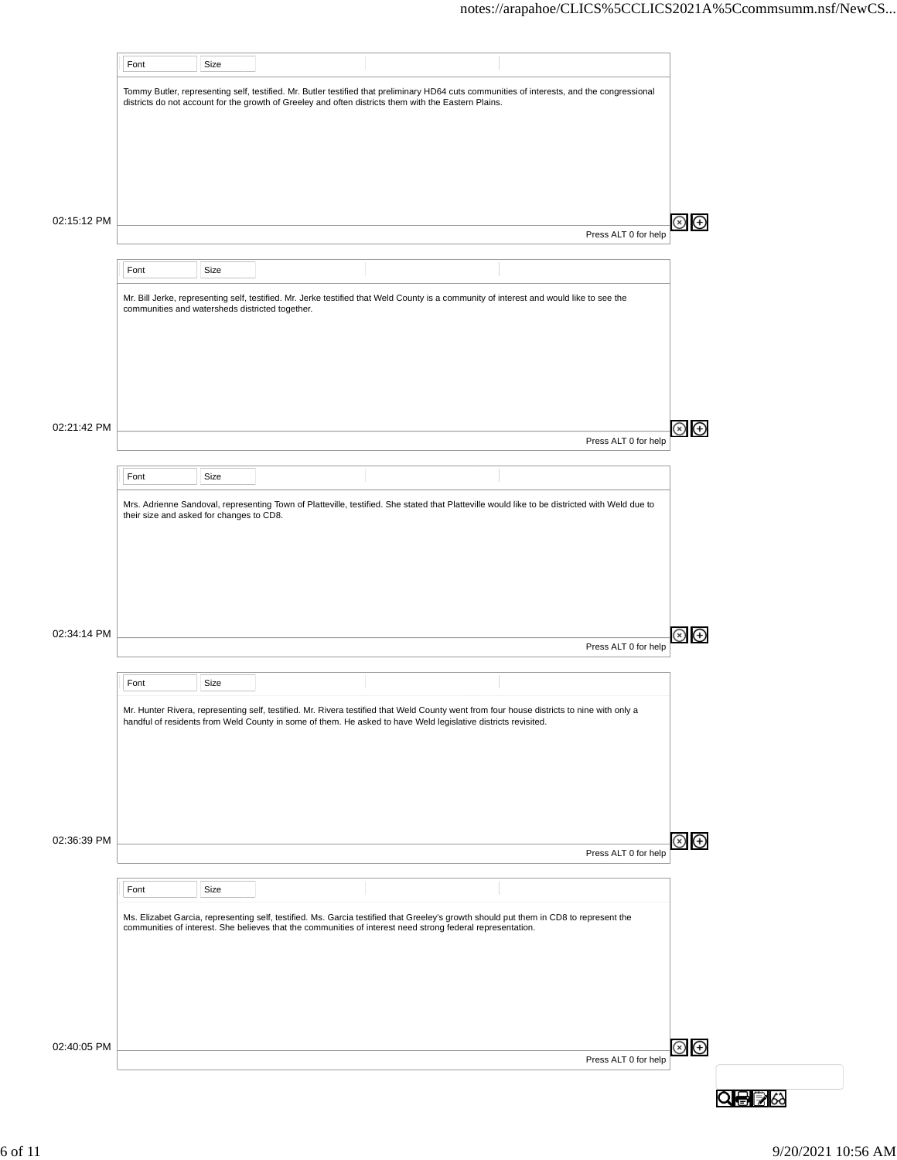|             | Font | Size                                            |                                                                                                                                                                                                                                                            |                      |                 |
|-------------|------|-------------------------------------------------|------------------------------------------------------------------------------------------------------------------------------------------------------------------------------------------------------------------------------------------------------------|----------------------|-----------------|
|             |      |                                                 | Tommy Butler, representing self, testified. Mr. Butler testified that preliminary HD64 cuts communities of interests, and the congressional<br>districts do not account for the growth of Greeley and often districts them with the Eastern Plains.        |                      |                 |
|             |      |                                                 |                                                                                                                                                                                                                                                            |                      |                 |
|             |      |                                                 |                                                                                                                                                                                                                                                            |                      |                 |
|             |      |                                                 |                                                                                                                                                                                                                                                            |                      |                 |
| 02:15:12 PM |      |                                                 |                                                                                                                                                                                                                                                            |                      | $\bigoplus$     |
|             |      |                                                 |                                                                                                                                                                                                                                                            | Press ALT 0 for help |                 |
|             | Font | Size                                            |                                                                                                                                                                                                                                                            |                      |                 |
|             |      | communities and watersheds districted together. | Mr. Bill Jerke, representing self, testified. Mr. Jerke testified that Weld County is a community of interest and would like to see the                                                                                                                    |                      |                 |
|             |      |                                                 |                                                                                                                                                                                                                                                            |                      |                 |
|             |      |                                                 |                                                                                                                                                                                                                                                            |                      |                 |
|             |      |                                                 |                                                                                                                                                                                                                                                            |                      |                 |
|             |      |                                                 |                                                                                                                                                                                                                                                            |                      |                 |
| 02:21:42 PM |      |                                                 |                                                                                                                                                                                                                                                            | Press ALT 0 for help | Θ<br>$(\times)$ |
|             | Font | Size                                            |                                                                                                                                                                                                                                                            |                      |                 |
|             |      |                                                 | Mrs. Adrienne Sandoval, representing Town of Platteville, testified. She stated that Platteville would like to be districted with Weld due to                                                                                                              |                      |                 |
|             |      | their size and asked for changes to CD8.        |                                                                                                                                                                                                                                                            |                      |                 |
|             |      |                                                 |                                                                                                                                                                                                                                                            |                      |                 |
|             |      |                                                 |                                                                                                                                                                                                                                                            |                      |                 |
|             |      |                                                 |                                                                                                                                                                                                                                                            |                      |                 |
| 02:34:14 PM |      |                                                 |                                                                                                                                                                                                                                                            | Press ALT 0 for help | ⊕               |
|             |      |                                                 |                                                                                                                                                                                                                                                            |                      |                 |
|             | Font | Size                                            |                                                                                                                                                                                                                                                            |                      |                 |
|             |      |                                                 | Mr. Hunter Rivera, representing self, testified. Mr. Rivera testified that Weld County went from four house districts to nine with only a<br>handful of residents from Weld County in some of them. He asked to have Weld legislative districts revisited. |                      |                 |
|             |      |                                                 |                                                                                                                                                                                                                                                            |                      |                 |
|             |      |                                                 |                                                                                                                                                                                                                                                            |                      |                 |
|             |      |                                                 |                                                                                                                                                                                                                                                            |                      |                 |
| 02:36:39 PM |      |                                                 |                                                                                                                                                                                                                                                            |                      | $\circledast$   |
|             |      |                                                 |                                                                                                                                                                                                                                                            | Press ALT 0 for help |                 |
|             | Font | Size                                            |                                                                                                                                                                                                                                                            |                      |                 |
|             |      |                                                 | Ms. Elizabet Garcia, representing self, testified. Ms. Garcia testified that Greeley's growth should put them in CD8 to represent the                                                                                                                      |                      |                 |
|             |      |                                                 | communities of interest. She believes that the communities of interest need strong federal representation.                                                                                                                                                 |                      |                 |
|             |      |                                                 |                                                                                                                                                                                                                                                            |                      |                 |
|             |      |                                                 |                                                                                                                                                                                                                                                            |                      |                 |
|             |      |                                                 |                                                                                                                                                                                                                                                            |                      |                 |
| 02:40:05 PM |      |                                                 |                                                                                                                                                                                                                                                            | Press ALT 0 for help | $\circledast$   |
|             |      |                                                 |                                                                                                                                                                                                                                                            |                      |                 |
|             |      |                                                 |                                                                                                                                                                                                                                                            |                      |                 |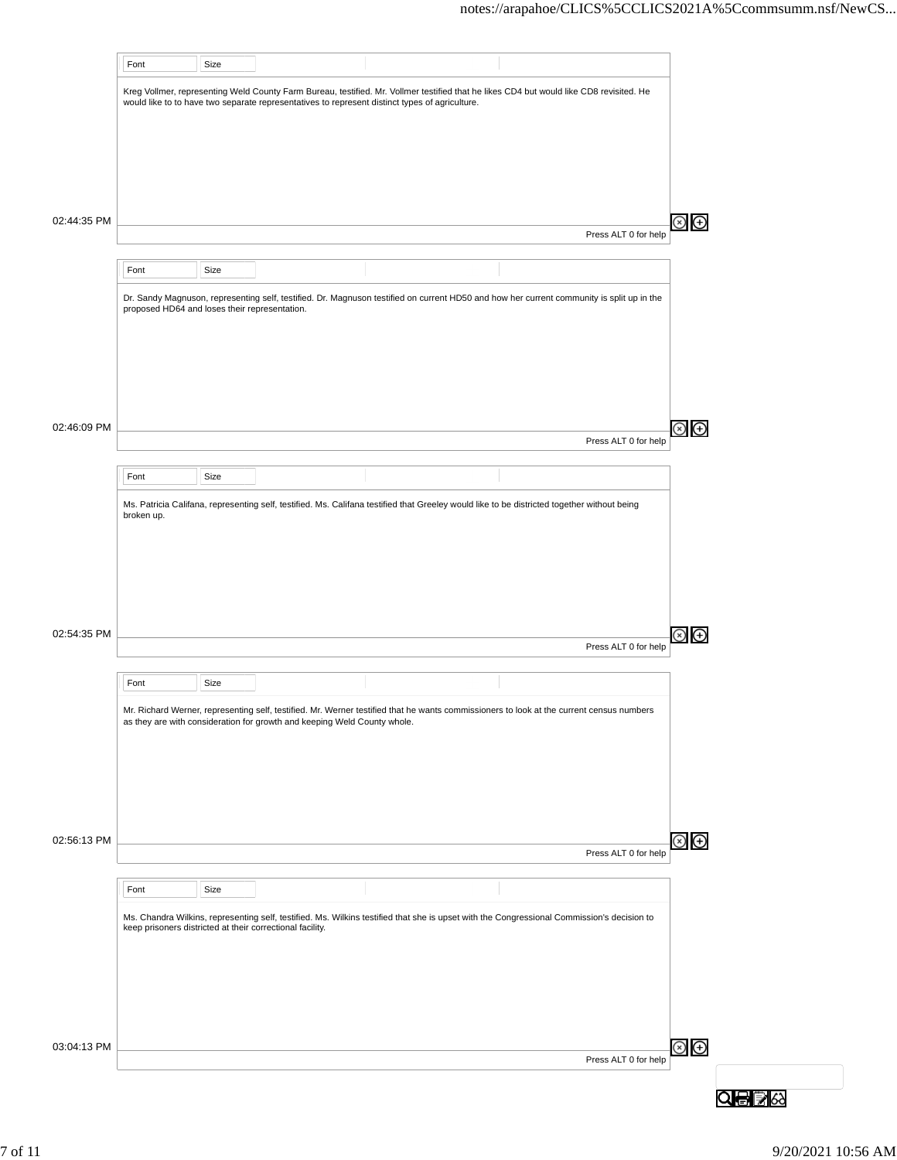|             | Font                                          | Size |                                                                                                                                                                                                                      |  |                      |                |
|-------------|-----------------------------------------------|------|----------------------------------------------------------------------------------------------------------------------------------------------------------------------------------------------------------------------|--|----------------------|----------------|
|             |                                               |      | Kreg Vollmer, representing Weld County Farm Bureau, testified. Mr. Vollmer testified that he likes CD4 but would like CD8 revisited. He                                                                              |  |                      |                |
|             |                                               |      | would like to to have two separate representatives to represent distinct types of agriculture.                                                                                                                       |  |                      |                |
|             |                                               |      |                                                                                                                                                                                                                      |  |                      |                |
|             |                                               |      |                                                                                                                                                                                                                      |  |                      |                |
|             |                                               |      |                                                                                                                                                                                                                      |  |                      |                |
|             |                                               |      |                                                                                                                                                                                                                      |  |                      |                |
| 02:44:35 PM |                                               |      |                                                                                                                                                                                                                      |  | Press ALT 0 for help | ⊕              |
|             |                                               |      |                                                                                                                                                                                                                      |  |                      |                |
|             | Font                                          | Size |                                                                                                                                                                                                                      |  |                      |                |
|             | proposed HD64 and loses their representation. |      | Dr. Sandy Magnuson, representing self, testified. Dr. Magnuson testified on current HD50 and how her current community is split up in the                                                                            |  |                      |                |
|             |                                               |      |                                                                                                                                                                                                                      |  |                      |                |
|             |                                               |      |                                                                                                                                                                                                                      |  |                      |                |
|             |                                               |      |                                                                                                                                                                                                                      |  |                      |                |
|             |                                               |      |                                                                                                                                                                                                                      |  |                      |                |
| 02:46:09 PM |                                               |      |                                                                                                                                                                                                                      |  |                      | Θ              |
|             |                                               |      |                                                                                                                                                                                                                      |  | Press ALT 0 for help |                |
|             | Font                                          | Size |                                                                                                                                                                                                                      |  |                      |                |
|             |                                               |      | Ms. Patricia Califana, representing self, testified. Ms. Califana testified that Greeley would like to be districted together without being                                                                          |  |                      |                |
|             | broken up.                                    |      |                                                                                                                                                                                                                      |  |                      |                |
|             |                                               |      |                                                                                                                                                                                                                      |  |                      |                |
|             |                                               |      |                                                                                                                                                                                                                      |  |                      |                |
|             |                                               |      |                                                                                                                                                                                                                      |  |                      |                |
|             |                                               |      |                                                                                                                                                                                                                      |  |                      |                |
| 02:54:35 PM |                                               |      |                                                                                                                                                                                                                      |  | Press ALT 0 for help | ⊕              |
|             |                                               |      |                                                                                                                                                                                                                      |  |                      |                |
|             | Font                                          | Size |                                                                                                                                                                                                                      |  |                      |                |
|             |                                               |      | Mr. Richard Werner, representing self, testified. Mr. Werner testified that he wants commissioners to look at the current census numbers<br>as they are with consideration for growth and keeping Weld County whole. |  |                      |                |
|             |                                               |      |                                                                                                                                                                                                                      |  |                      |                |
|             |                                               |      |                                                                                                                                                                                                                      |  |                      |                |
|             |                                               |      |                                                                                                                                                                                                                      |  |                      |                |
|             |                                               |      |                                                                                                                                                                                                                      |  |                      |                |
| 02:56:13 PM |                                               |      |                                                                                                                                                                                                                      |  |                      | $\oplus$       |
|             |                                               |      |                                                                                                                                                                                                                      |  | Press ALT 0 for help |                |
|             | Font                                          | Size |                                                                                                                                                                                                                      |  |                      |                |
|             |                                               |      | Ms. Chandra Wilkins, representing self, testified. Ms. Wilkins testified that she is upset with the Congressional Commission's decision to                                                                           |  |                      |                |
|             |                                               |      | keep prisoners districted at their correctional facility.                                                                                                                                                            |  |                      |                |
|             |                                               |      |                                                                                                                                                                                                                      |  |                      |                |
|             |                                               |      |                                                                                                                                                                                                                      |  |                      |                |
|             |                                               |      |                                                                                                                                                                                                                      |  |                      |                |
|             |                                               |      |                                                                                                                                                                                                                      |  |                      |                |
| 03:04:13 PM |                                               |      |                                                                                                                                                                                                                      |  | Press ALT 0 for help | $\circledcirc$ |
|             |                                               |      |                                                                                                                                                                                                                      |  |                      |                |
|             |                                               |      |                                                                                                                                                                                                                      |  |                      |                |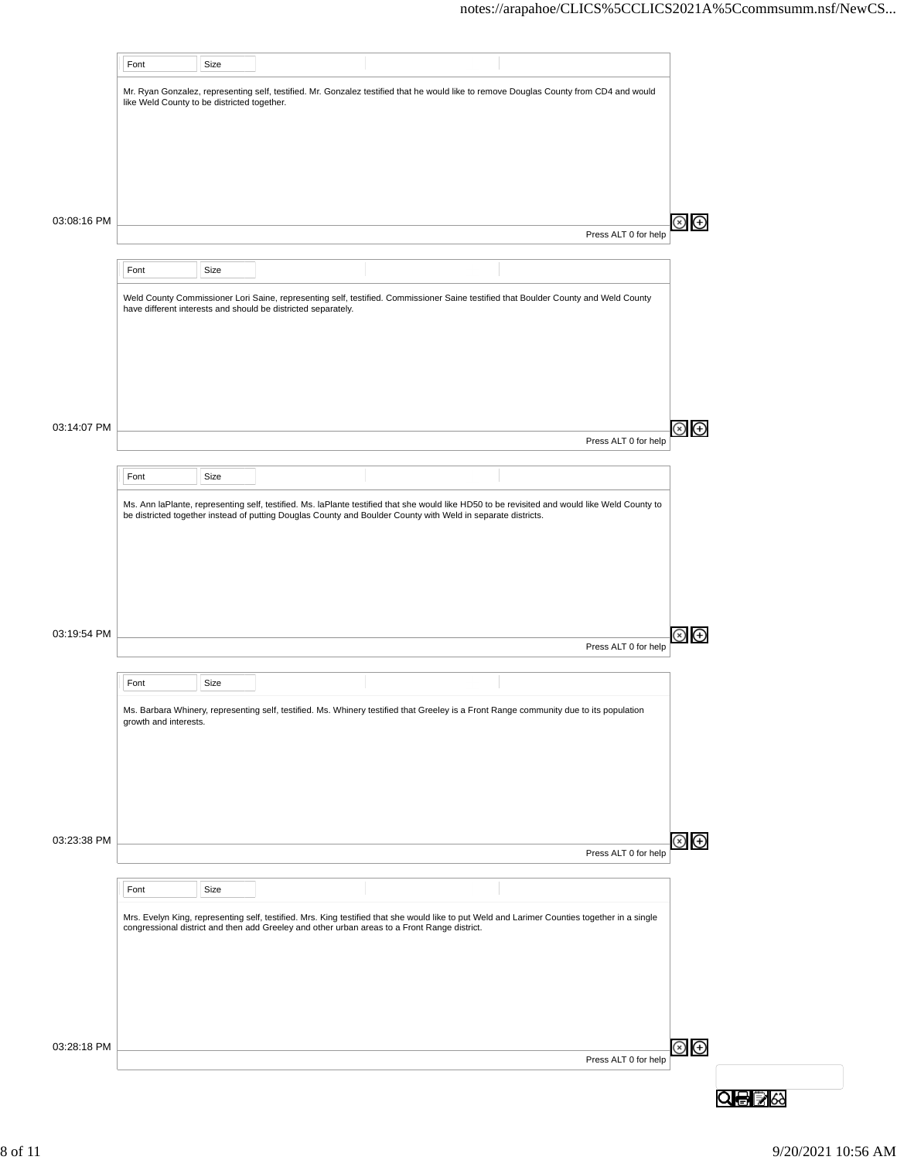|             | Font                                        | Size |                                                               |                                                                                                                                                                                                                                                               |                      |               |
|-------------|---------------------------------------------|------|---------------------------------------------------------------|---------------------------------------------------------------------------------------------------------------------------------------------------------------------------------------------------------------------------------------------------------------|----------------------|---------------|
|             | like Weld County to be districted together. |      |                                                               | Mr. Ryan Gonzalez, representing self, testified. Mr. Gonzalez testified that he would like to remove Douglas County from CD4 and would                                                                                                                        |                      |               |
|             |                                             |      |                                                               |                                                                                                                                                                                                                                                               |                      |               |
|             |                                             |      |                                                               |                                                                                                                                                                                                                                                               |                      |               |
|             |                                             |      |                                                               |                                                                                                                                                                                                                                                               |                      |               |
| 03:08:16 PM |                                             |      |                                                               |                                                                                                                                                                                                                                                               |                      | ⊗<br>⊕        |
|             |                                             |      |                                                               |                                                                                                                                                                                                                                                               | Press ALT 0 for help |               |
|             | Font                                        | Size |                                                               |                                                                                                                                                                                                                                                               |                      |               |
|             |                                             |      |                                                               | Weld County Commissioner Lori Saine, representing self, testified. Commissioner Saine testified that Boulder County and Weld County                                                                                                                           |                      |               |
|             |                                             |      | have different interests and should be districted separately. |                                                                                                                                                                                                                                                               |                      |               |
|             |                                             |      |                                                               |                                                                                                                                                                                                                                                               |                      |               |
|             |                                             |      |                                                               |                                                                                                                                                                                                                                                               |                      |               |
|             |                                             |      |                                                               |                                                                                                                                                                                                                                                               |                      |               |
| 03:14:07 PM |                                             |      |                                                               |                                                                                                                                                                                                                                                               | Press ALT 0 for help | ⊗<br>⊕        |
|             |                                             |      |                                                               |                                                                                                                                                                                                                                                               |                      |               |
|             | Font                                        | Size |                                                               |                                                                                                                                                                                                                                                               |                      |               |
|             |                                             |      |                                                               | Ms. Ann laPlante, representing self, testified. Ms. laPlante testified that she would like HD50 to be revisited and would like Weld County to<br>be districted together instead of putting Douglas County and Boulder County with Weld in separate districts. |                      |               |
|             |                                             |      |                                                               |                                                                                                                                                                                                                                                               |                      |               |
|             |                                             |      |                                                               |                                                                                                                                                                                                                                                               |                      |               |
|             |                                             |      |                                                               |                                                                                                                                                                                                                                                               |                      |               |
|             |                                             |      |                                                               |                                                                                                                                                                                                                                                               |                      |               |
| 03:19:54 PM |                                             |      |                                                               |                                                                                                                                                                                                                                                               | Press ALT 0 for help | ⊗<br>⊕        |
|             |                                             |      |                                                               |                                                                                                                                                                                                                                                               |                      |               |
|             | Font                                        | Size |                                                               |                                                                                                                                                                                                                                                               |                      |               |
|             | growth and interests.                       |      |                                                               | Ms. Barbara Whinery, representing self, testified. Ms. Whinery testified that Greeley is a Front Range community due to its population                                                                                                                        |                      |               |
|             |                                             |      |                                                               |                                                                                                                                                                                                                                                               |                      |               |
|             |                                             |      |                                                               |                                                                                                                                                                                                                                                               |                      |               |
|             |                                             |      |                                                               |                                                                                                                                                                                                                                                               |                      |               |
| 03:23:38 PM |                                             |      |                                                               |                                                                                                                                                                                                                                                               |                      | $\circledast$ |
|             |                                             |      |                                                               |                                                                                                                                                                                                                                                               | Press ALT 0 for help |               |
|             | Font                                        | Size |                                                               |                                                                                                                                                                                                                                                               |                      |               |
|             |                                             |      |                                                               | Mrs. Evelyn King, representing self, testified. Mrs. King testified that she would like to put Weld and Larimer Counties together in a single                                                                                                                 |                      |               |
|             |                                             |      |                                                               | congressional district and then add Greeley and other urban areas to a Front Range district.                                                                                                                                                                  |                      |               |
|             |                                             |      |                                                               |                                                                                                                                                                                                                                                               |                      |               |
|             |                                             |      |                                                               |                                                                                                                                                                                                                                                               |                      |               |
|             |                                             |      |                                                               |                                                                                                                                                                                                                                                               |                      |               |
| 03:28:18 PM |                                             |      |                                                               |                                                                                                                                                                                                                                                               |                      | $\circledast$ |
|             |                                             |      |                                                               |                                                                                                                                                                                                                                                               | Press ALT 0 for help |               |
|             |                                             |      |                                                               |                                                                                                                                                                                                                                                               |                      |               |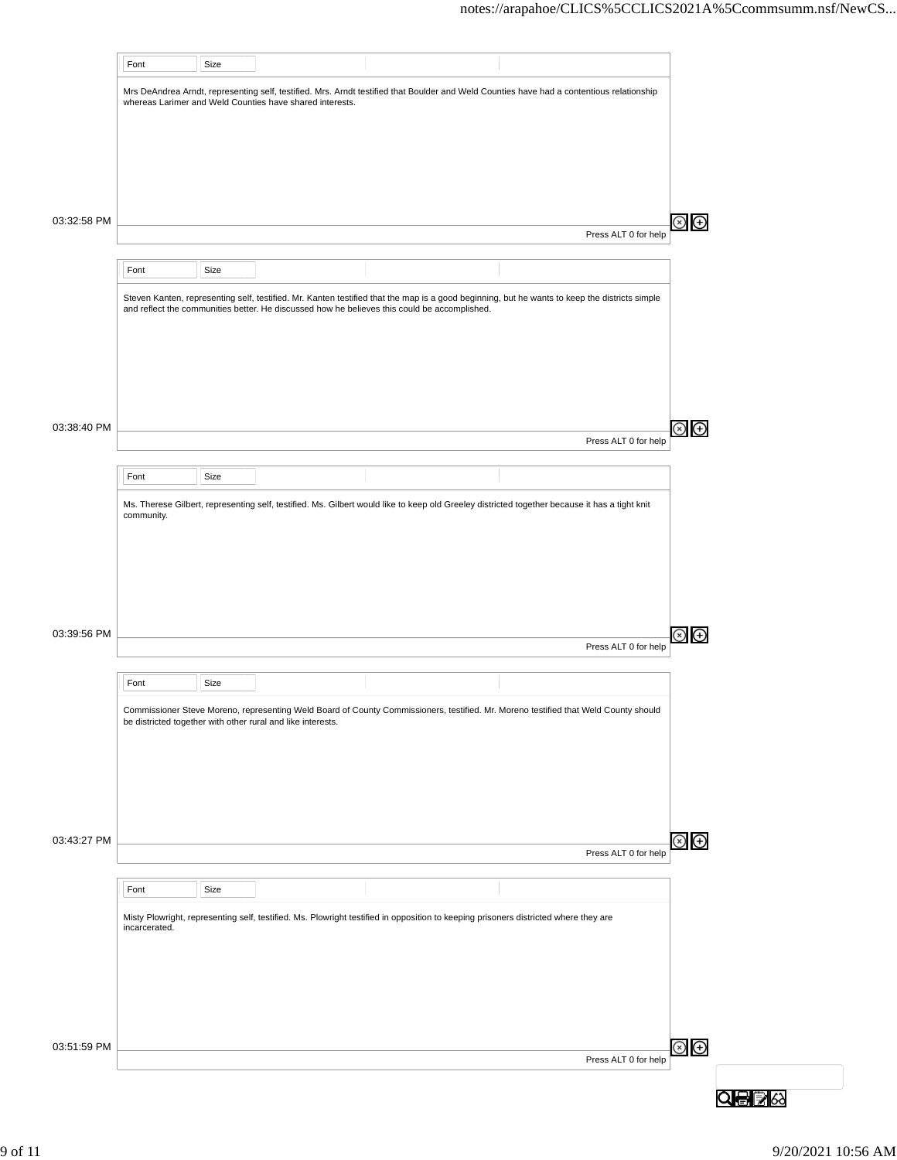|             | Font          | Size |                                                             |                                                                                                                                                                                                                                               |                      |               |
|-------------|---------------|------|-------------------------------------------------------------|-----------------------------------------------------------------------------------------------------------------------------------------------------------------------------------------------------------------------------------------------|----------------------|---------------|
|             |               |      | whereas Larimer and Weld Counties have shared interests.    | Mrs DeAndrea Arndt, representing self, testified. Mrs. Arndt testified that Boulder and Weld Counties have had a contentious relationship                                                                                                     |                      |               |
|             |               |      |                                                             |                                                                                                                                                                                                                                               |                      |               |
|             |               |      |                                                             |                                                                                                                                                                                                                                               |                      |               |
|             |               |      |                                                             |                                                                                                                                                                                                                                               |                      |               |
| 03:32:58 PM |               |      |                                                             |                                                                                                                                                                                                                                               |                      |               |
|             |               |      |                                                             |                                                                                                                                                                                                                                               | Press ALT 0 for help |               |
|             | Font          | Size |                                                             |                                                                                                                                                                                                                                               |                      |               |
|             |               |      |                                                             | Steven Kanten, representing self, testified. Mr. Kanten testified that the map is a good beginning, but he wants to keep the districts simple<br>and reflect the communities better. He discussed how he believes this could be accomplished. |                      |               |
|             |               |      |                                                             |                                                                                                                                                                                                                                               |                      |               |
|             |               |      |                                                             |                                                                                                                                                                                                                                               |                      |               |
|             |               |      |                                                             |                                                                                                                                                                                                                                               |                      |               |
|             |               |      |                                                             |                                                                                                                                                                                                                                               |                      |               |
| 03:38:40 PM |               |      |                                                             |                                                                                                                                                                                                                                               | Press ALT 0 for help |               |
|             |               |      |                                                             |                                                                                                                                                                                                                                               |                      |               |
|             | Font          | Size |                                                             |                                                                                                                                                                                                                                               |                      |               |
|             | community.    |      |                                                             | Ms. Therese Gilbert, representing self, testified. Ms. Gilbert would like to keep old Greeley districted together because it has a tight knit                                                                                                 |                      |               |
|             |               |      |                                                             |                                                                                                                                                                                                                                               |                      |               |
|             |               |      |                                                             |                                                                                                                                                                                                                                               |                      |               |
|             |               |      |                                                             |                                                                                                                                                                                                                                               |                      |               |
|             |               |      |                                                             |                                                                                                                                                                                                                                               |                      |               |
| 03:39:56 PM |               |      |                                                             |                                                                                                                                                                                                                                               | Press ALT 0 for help |               |
|             |               |      |                                                             |                                                                                                                                                                                                                                               |                      |               |
|             | Font          | Size |                                                             |                                                                                                                                                                                                                                               |                      |               |
|             |               |      | be districted together with other rural and like interests. | Commissioner Steve Moreno, representing Weld Board of County Commissioners, testified. Mr. Moreno testified that Weld County should                                                                                                           |                      |               |
|             |               |      |                                                             |                                                                                                                                                                                                                                               |                      |               |
|             |               |      |                                                             |                                                                                                                                                                                                                                               |                      |               |
|             |               |      |                                                             |                                                                                                                                                                                                                                               |                      |               |
|             |               |      |                                                             |                                                                                                                                                                                                                                               |                      |               |
| 03:43:27 PM |               |      |                                                             |                                                                                                                                                                                                                                               | Press ALT 0 for help | $\circledast$ |
|             |               |      |                                                             |                                                                                                                                                                                                                                               |                      |               |
|             | Font          | Size |                                                             |                                                                                                                                                                                                                                               |                      |               |
|             | incarcerated. |      |                                                             | Misty Plowright, representing self, testified. Ms. Plowright testified in opposition to keeping prisoners districted where they are                                                                                                           |                      |               |
|             |               |      |                                                             |                                                                                                                                                                                                                                               |                      |               |
|             |               |      |                                                             |                                                                                                                                                                                                                                               |                      |               |
|             |               |      |                                                             |                                                                                                                                                                                                                                               |                      |               |
|             |               |      |                                                             |                                                                                                                                                                                                                                               |                      |               |
| 03:51:59 PM |               |      |                                                             |                                                                                                                                                                                                                                               | Press ALT 0 for help | $\circledast$ |
|             |               |      |                                                             |                                                                                                                                                                                                                                               |                      |               |
|             |               |      |                                                             |                                                                                                                                                                                                                                               |                      |               |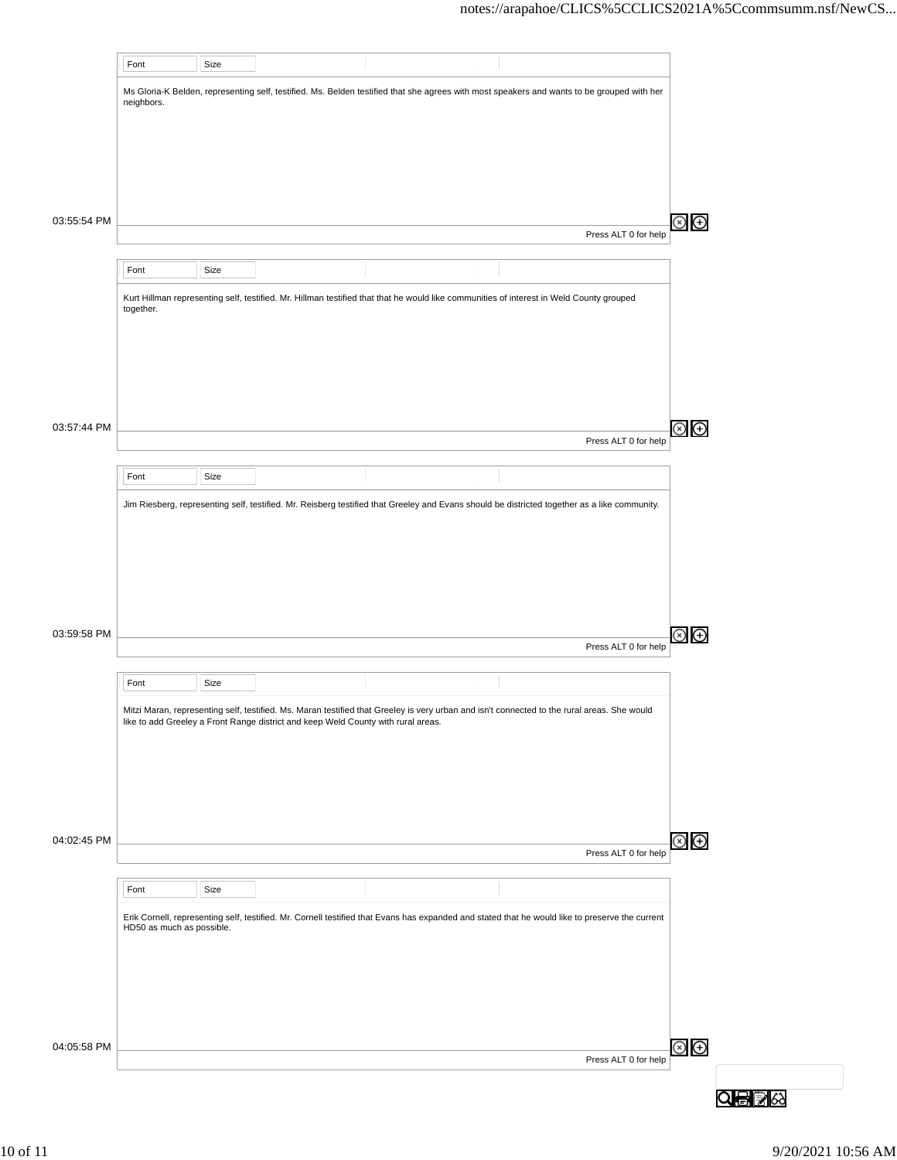|             | Font                      | Size |                                                                                   |                                                                                                                                                 |                      |                              |  |
|-------------|---------------------------|------|-----------------------------------------------------------------------------------|-------------------------------------------------------------------------------------------------------------------------------------------------|----------------------|------------------------------|--|
|             |                           |      |                                                                                   | Ms Gloria-K Belden, representing self, testified. Ms. Belden testified that she agrees with most speakers and wants to be grouped with her      |                      |                              |  |
|             | neighbors.                |      |                                                                                   |                                                                                                                                                 |                      |                              |  |
|             |                           |      |                                                                                   |                                                                                                                                                 |                      |                              |  |
|             |                           |      |                                                                                   |                                                                                                                                                 |                      |                              |  |
|             |                           |      |                                                                                   |                                                                                                                                                 |                      |                              |  |
| 03:55:54 PM |                           |      |                                                                                   |                                                                                                                                                 |                      | $\bigoplus$                  |  |
|             |                           |      |                                                                                   |                                                                                                                                                 | Press ALT 0 for help |                              |  |
|             | Font                      | Size |                                                                                   |                                                                                                                                                 |                      |                              |  |
|             |                           |      |                                                                                   | Kurt Hillman representing self, testified. Mr. Hillman testified that that he would like communities of interest in Weld County grouped         |                      |                              |  |
|             | together.                 |      |                                                                                   |                                                                                                                                                 |                      |                              |  |
|             |                           |      |                                                                                   |                                                                                                                                                 |                      |                              |  |
|             |                           |      |                                                                                   |                                                                                                                                                 |                      |                              |  |
|             |                           |      |                                                                                   |                                                                                                                                                 |                      |                              |  |
| 03:57:44 PM |                           |      |                                                                                   |                                                                                                                                                 |                      | $\bigoplus$<br>$\mathsf{x})$ |  |
|             |                           |      |                                                                                   |                                                                                                                                                 | Press ALT 0 for help |                              |  |
|             | Font                      | Size |                                                                                   |                                                                                                                                                 |                      |                              |  |
|             |                           |      |                                                                                   |                                                                                                                                                 |                      |                              |  |
|             |                           |      |                                                                                   | Jim Riesberg, representing self, testified. Mr. Reisberg testified that Greeley and Evans should be districted together as a like community.    |                      |                              |  |
|             |                           |      |                                                                                   |                                                                                                                                                 |                      |                              |  |
|             |                           |      |                                                                                   |                                                                                                                                                 |                      |                              |  |
|             |                           |      |                                                                                   |                                                                                                                                                 |                      |                              |  |
|             |                           |      |                                                                                   |                                                                                                                                                 |                      |                              |  |
| 03:59:58 PM |                           |      |                                                                                   |                                                                                                                                                 | Press ALT 0 for help | Θ                            |  |
|             |                           |      |                                                                                   |                                                                                                                                                 |                      |                              |  |
|             | Font                      | Size |                                                                                   |                                                                                                                                                 |                      |                              |  |
|             |                           |      | like to add Greeley a Front Range district and keep Weld County with rural areas. | Mitzi Maran, representing self, testified. Ms. Maran testified that Greeley is very urban and isn't connected to the rural areas. She would     |                      |                              |  |
|             |                           |      |                                                                                   |                                                                                                                                                 |                      |                              |  |
|             |                           |      |                                                                                   |                                                                                                                                                 |                      |                              |  |
|             |                           |      |                                                                                   |                                                                                                                                                 |                      |                              |  |
|             |                           |      |                                                                                   |                                                                                                                                                 |                      |                              |  |
| 04:02:45 PM |                           |      |                                                                                   |                                                                                                                                                 | Press ALT 0 for help | E)<br>O                      |  |
|             |                           |      |                                                                                   |                                                                                                                                                 |                      |                              |  |
|             | Font                      | Size |                                                                                   |                                                                                                                                                 |                      |                              |  |
|             | HD50 as much as possible. |      |                                                                                   | Erik Cornell, representing self, testified. Mr. Cornell testified that Evans has expanded and stated that he would like to preserve the current |                      |                              |  |
|             |                           |      |                                                                                   |                                                                                                                                                 |                      |                              |  |
|             |                           |      |                                                                                   |                                                                                                                                                 |                      |                              |  |
|             |                           |      |                                                                                   |                                                                                                                                                 |                      |                              |  |
|             |                           |      |                                                                                   |                                                                                                                                                 |                      |                              |  |
| 04:05:58 PM |                           |      |                                                                                   |                                                                                                                                                 | Press ALT 0 for help | $\circledast$                |  |
|             |                           |      |                                                                                   |                                                                                                                                                 |                      |                              |  |
|             |                           |      |                                                                                   |                                                                                                                                                 |                      |                              |  |